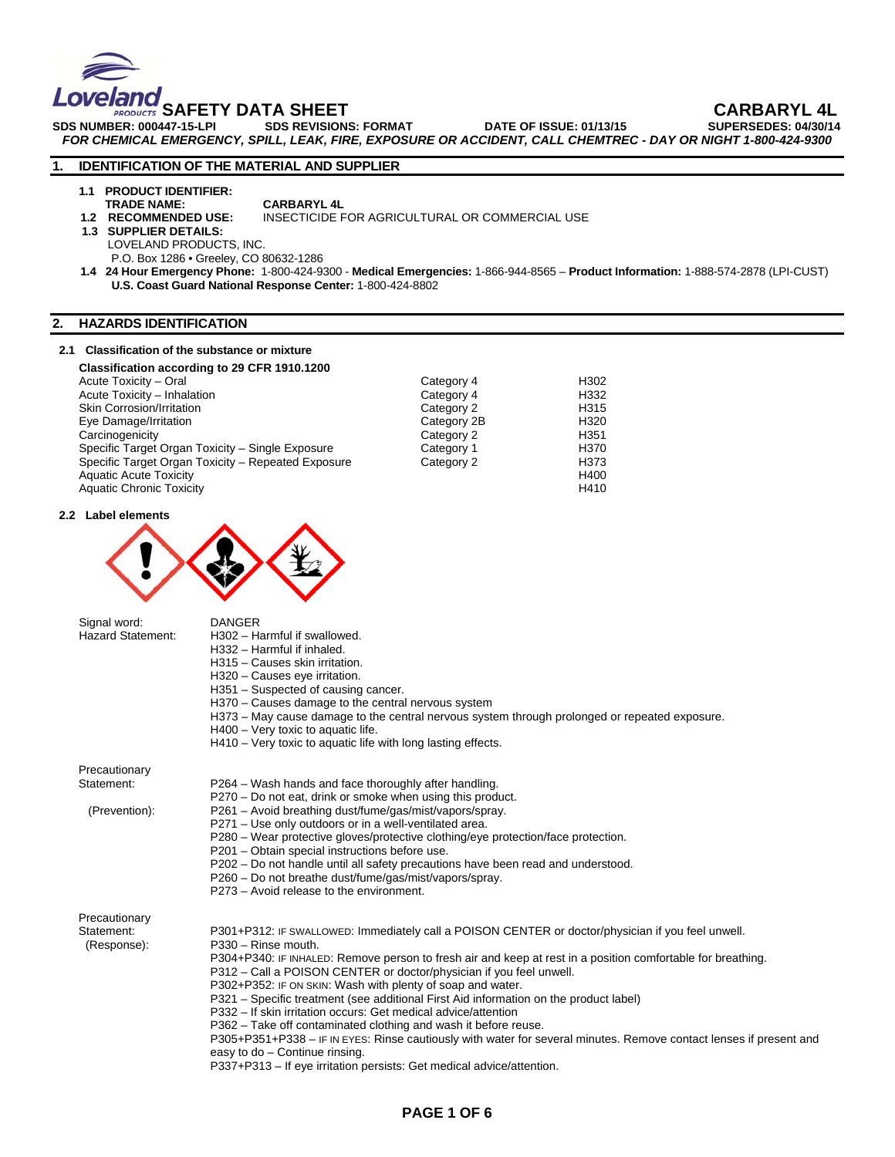

**SAFETY DATA SHEET CARBARYL 4L**  SDS NUMBER: 000447-15-LPI SDS REVISIONS: FORMAT DATE OF ISSUE: 01/13/15 *FOR CHEMICAL EMERGENCY, SPILL, LEAK, FIRE, EXPOSURE OR ACCIDENT, CALL CHEMTREC - DAY OR NIGHT 1-800-424-9300* 

# **1. IDENTIFICATION OF THE MATERIAL AND SUPPLIER**

- **1.1 PRODUCT IDENTIFIER:**
- **TRADE NAME:** CARBARYL 4L<br>1.2 RECOMMENDED USE: INSECTICIDE F
	- INSECTICIDE FOR AGRICULTURAL OR COMMERCIAL USE
- **1.3 SUPPLIER DETAILS:** 
	- LOVELAND PRODUCTS, INC.

P.O. Box 1286 • Greeley, CO 80632-1286

 **1.4 24 Hour Emergency Phone:** 1-800-424-9300 - **Medical Emergencies:** 1-866-944-8565 – **Product Information:** 1-888-574-2878 (LPI-CUST) **U.S. Coast Guard National Response Center:** 1-800-424-8802

# **2. HAZARDS IDENTIFICATION**

### **2.1 Classification of the substance or mixture**

| Classification according to 29 CFR 1910.1200       |             |                  |
|----------------------------------------------------|-------------|------------------|
| Acute Toxicity - Oral                              | Category 4  | H302             |
| Acute Toxicity - Inhalation                        | Category 4  | H332             |
| <b>Skin Corrosion/Irritation</b>                   | Category 2  | H315             |
| Eye Damage/Irritation                              | Category 2B | H320             |
| Carcinogenicity                                    | Category 2  | H351             |
| Specific Target Organ Toxicity - Single Exposure   | Category 1  | H370             |
| Specific Target Organ Toxicity - Repeated Exposure | Category 2  | H <sub>373</sub> |
| <b>Aquatic Acute Toxicity</b>                      |             | H400             |
| <b>Aquatic Chronic Toxicity</b>                    |             | H410             |

### **2.2 Label elements**



Signal word: DANGER

| <b>Hazard Statement:</b>  | H302 - Harmful if swallowed.<br>H332 - Harmful if inhaled.<br>H315 - Causes skin irritation.<br>H320 - Causes eye irritation.<br>H351 – Suspected of causing cancer.<br>H370 – Causes damage to the central nervous system<br>H373 – May cause damage to the central nervous system through prolonged or repeated exposure.<br>H400 - Very toxic to aquatic life.<br>H410 – Very toxic to aquatic life with long lasting effects. |
|---------------------------|-----------------------------------------------------------------------------------------------------------------------------------------------------------------------------------------------------------------------------------------------------------------------------------------------------------------------------------------------------------------------------------------------------------------------------------|
| Precautionary             |                                                                                                                                                                                                                                                                                                                                                                                                                                   |
| Statement:                | P264 – Wash hands and face thoroughly after handling.<br>P270 – Do not eat, drink or smoke when using this product.                                                                                                                                                                                                                                                                                                               |
| (Prevention):             | P261 - Avoid breathing dust/fume/gas/mist/vapors/spray.                                                                                                                                                                                                                                                                                                                                                                           |
|                           | P271 – Use only outdoors or in a well-ventilated area.                                                                                                                                                                                                                                                                                                                                                                            |
|                           | P280 – Wear protective gloves/protective clothing/eye protection/face protection.<br>P201 - Obtain special instructions before use.                                                                                                                                                                                                                                                                                               |
|                           | P202 - Do not handle until all safety precautions have been read and understood.                                                                                                                                                                                                                                                                                                                                                  |
|                           | P260 - Do not breathe dust/fume/gas/mist/vapors/spray.<br>P273 – Avoid release to the environment.                                                                                                                                                                                                                                                                                                                                |
| Precautionary             |                                                                                                                                                                                                                                                                                                                                                                                                                                   |
| Statement:<br>(Response): | P301+P312: IF SWALLOWED: Immediately call a POISON CENTER or doctor/physician if you feel unwell.<br>P330 - Rinse mouth.                                                                                                                                                                                                                                                                                                          |
|                           | P304+P340: IF INHALED: Remove person to fresh air and keep at rest in a position comfortable for breathing.<br>P312 – Call a POISON CENTER or doctor/physician if you feel unwell.                                                                                                                                                                                                                                                |
|                           | P302+P352: IF ON SKIN: Wash with plenty of soap and water.<br>P321 – Specific treatment (see additional First Aid information on the product label)                                                                                                                                                                                                                                                                               |
|                           | P332 - If skin irritation occurs: Get medical advice/attention                                                                                                                                                                                                                                                                                                                                                                    |
|                           | P362 - Take off contaminated clothing and wash it before reuse.                                                                                                                                                                                                                                                                                                                                                                   |
|                           | P305+P351+P338 - IF IN EYES: Rinse cautiously with water for several minutes. Remove contact lenses if present and<br>easy to do - Continue rinsing.                                                                                                                                                                                                                                                                              |
|                           | P337+P313 - If eye irritation persists: Get medical advice/attention.                                                                                                                                                                                                                                                                                                                                                             |
|                           |                                                                                                                                                                                                                                                                                                                                                                                                                                   |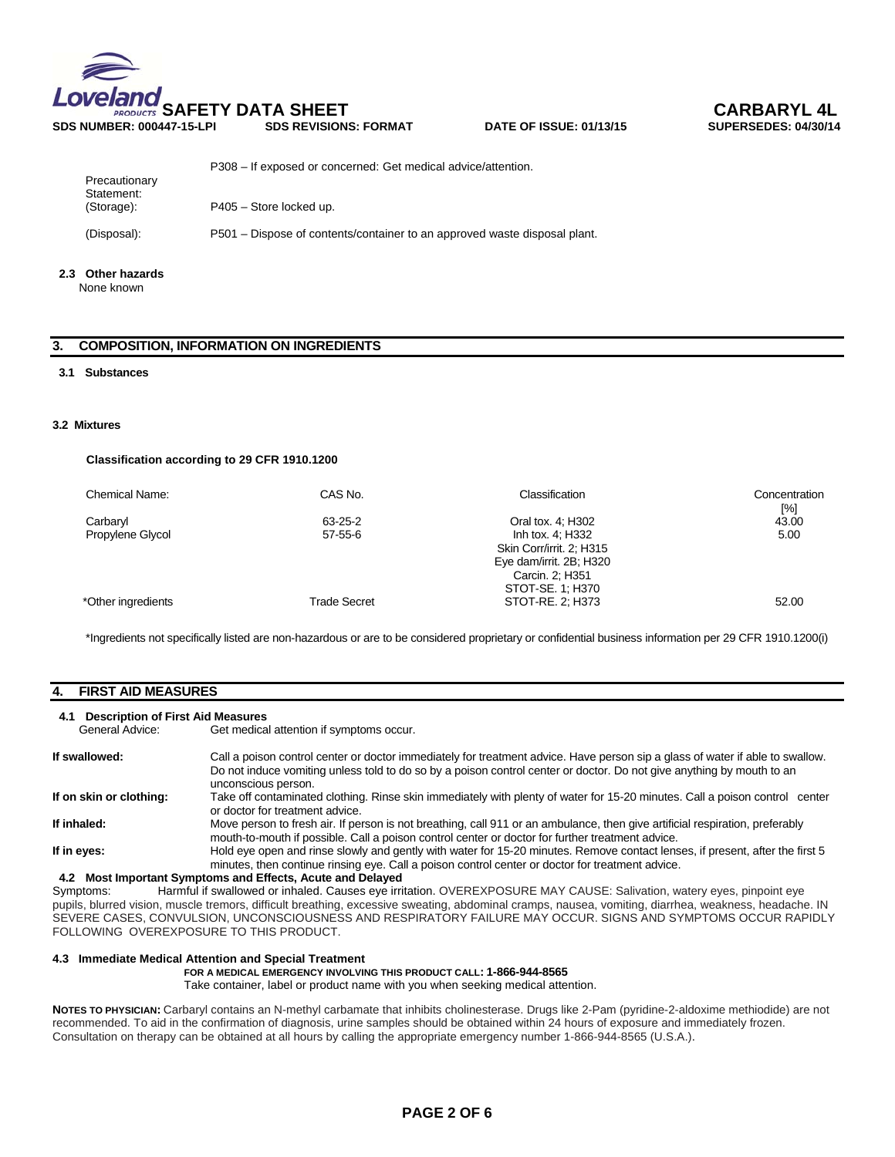

| Precautionary            | P308 – If exposed or concerned: Get medical advice/attention.             |
|--------------------------|---------------------------------------------------------------------------|
| Statement:<br>(Storage): | P405 - Store locked up.                                                   |
| (Disposal):              | P501 – Dispose of contents/container to an approved waste disposal plant. |

# **2.3 Other hazards**

None known

# **3. COMPOSITION, INFORMATION ON INGREDIENTS**

### **3.1 Substances**

### **3.2 Mixtures**

### **Classification according to 29 CFR 1910.1200**

| Chemical Name:     | CAS No.             | Classification                                                                             | Concentration<br>[%] |
|--------------------|---------------------|--------------------------------------------------------------------------------------------|----------------------|
| Carbaryl           | 63-25-2             | Oral tox. 4; H302                                                                          | 43.00                |
| Propylene Glycol   | $57 - 55 - 6$       | Inh tox. 4; H332<br>Skin Corr/irrit. 2; H315<br>Eye dam/irrit. 2B; H320<br>Carcin. 2; H351 | 5.00                 |
| *Other ingredients | <b>Trade Secret</b> | STOT-SE. 1; H370<br>STOT-RE, 2: H373                                                       | 52.00                |

\*Ingredients not specifically listed are non-hazardous or are to be considered proprietary or confidential business information per 29 CFR 1910.1200(i)

# **4. FIRST AID MEASURES**

# **4.1 Description of First Aid Measures**

Get medical attention if symptoms occur.

| If swallowed:           | Call a poison control center or doctor immediately for treatment advice. Have person sip a glass of water if able to swallow.<br>Do not induce vomiting unless told to do so by a poison control center or doctor. Do not give anything by mouth to an<br>unconscious person.                          |
|-------------------------|--------------------------------------------------------------------------------------------------------------------------------------------------------------------------------------------------------------------------------------------------------------------------------------------------------|
| If on skin or clothing: | Take off contaminated clothing. Rinse skin immediately with plenty of water for 15-20 minutes. Call a poison control center<br>or doctor for treatment advice.                                                                                                                                         |
| If inhaled:             | Move person to fresh air. If person is not breathing, call 911 or an ambulance, then give artificial respiration, preferably<br>mouth-to-mouth if possible. Call a poison control center or doctor for further treatment advice.                                                                       |
| If in eves:             | Hold eye open and rinse slowly and gently with water for 15-20 minutes. Remove contact lenses, if present, after the first 5<br>minutes, then continue rinsing eye. Call a poison control center or doctor for treatment advice.<br><b>A.2. Most Important Symptoms and Effects, Acute and Delayed</b> |

**4.2 Most Important Symptoms and Effects, Acute and Delayed**  Harmful if swallowed or inhaled. Causes eye irritation. OVEREXPOSURE MAY CAUSE: Salivation, watery eyes, pinpoint eye pupils, blurred vision, muscle tremors, difficult breathing, excessive sweating, abdominal cramps, nausea, vomiting, diarrhea, weakness, headache. IN SEVERE CASES, CONVULSION, UNCONSCIOUSNESS AND RESPIRATORY FAILURE MAY OCCUR. SIGNS AND SYMPTOMS OCCUR RAPIDLY FOLLOWING OVEREXPOSURE TO THIS PRODUCT.

#### **4.3 Immediate Medical Attention and Special Treatment**

### **FOR A MEDICAL EMERGENCY INVOLVING THIS PRODUCT CALL: 1-866-944-8565**

Take container, label or product name with you when seeking medical attention.

**NOTES TO PHYSICIAN:** Carbaryl contains an N-methyl carbamate that inhibits cholinesterase. Drugs like 2-Pam (pyridine-2-aldoxime methiodide) are not recommended. To aid in the confirmation of diagnosis, urine samples should be obtained within 24 hours of exposure and immediately frozen. Consultation on therapy can be obtained at all hours by calling the appropriate emergency number 1-866-944-8565 (U.S.A.).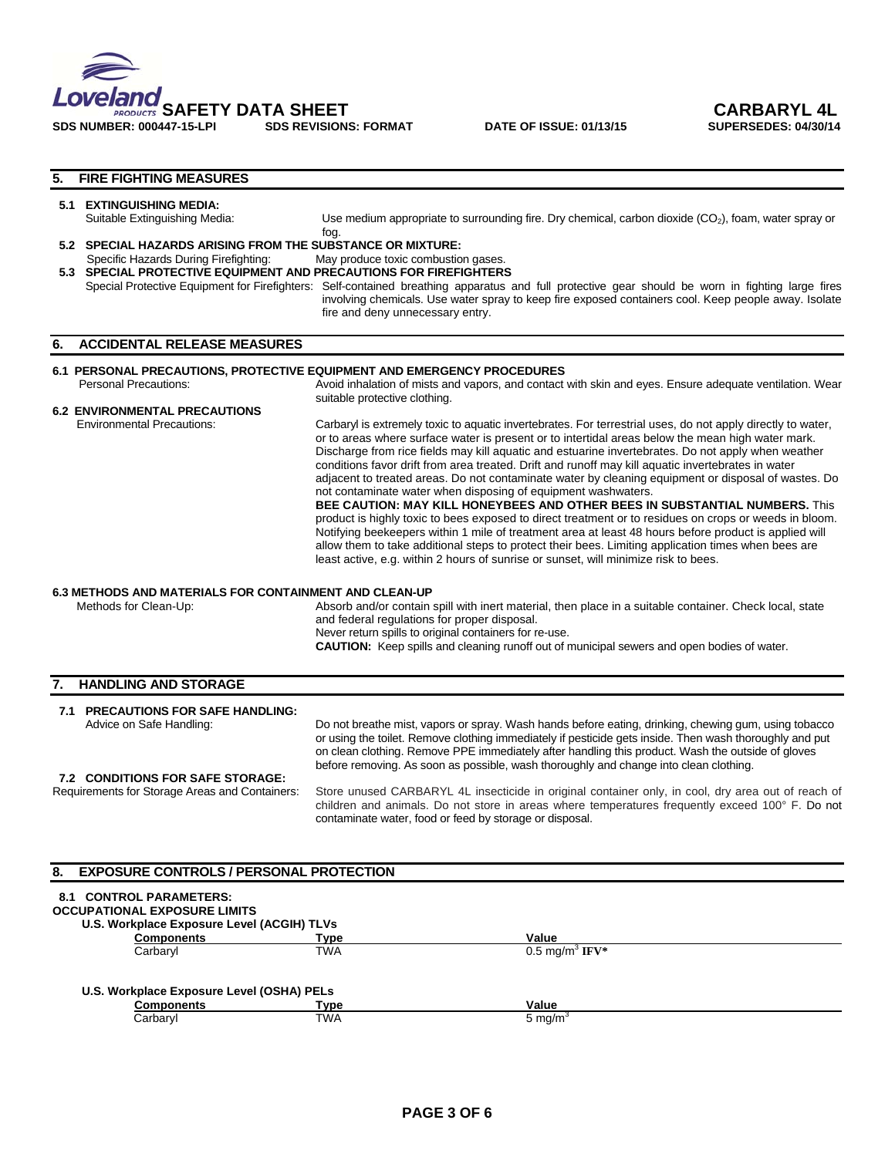

**DATE OF ISSUE: 01/13/15** 

# **5. FIRE FIGHTING MEASURES**

|    | 5.1 EXTINGUISHING MEDIA:<br>Suitable Extinguishing Media:                                                  | Use medium appropriate to surrounding fire. Dry chemical, carbon dioxide $(CO2)$ , foam, water spray or<br>fog.                                                                                                                                                                                                                                                                                                                                                                                                                                                                                                                                                                                                                                                                                                                                                                                                                                                                                                                                                                                             |  |  |  |
|----|------------------------------------------------------------------------------------------------------------|-------------------------------------------------------------------------------------------------------------------------------------------------------------------------------------------------------------------------------------------------------------------------------------------------------------------------------------------------------------------------------------------------------------------------------------------------------------------------------------------------------------------------------------------------------------------------------------------------------------------------------------------------------------------------------------------------------------------------------------------------------------------------------------------------------------------------------------------------------------------------------------------------------------------------------------------------------------------------------------------------------------------------------------------------------------------------------------------------------------|--|--|--|
|    | 5.2 SPECIAL HAZARDS ARISING FROM THE SUBSTANCE OR MIXTURE:                                                 |                                                                                                                                                                                                                                                                                                                                                                                                                                                                                                                                                                                                                                                                                                                                                                                                                                                                                                                                                                                                                                                                                                             |  |  |  |
|    | Specific Hazards During Firefighting:<br>5.3 SPECIAL PROTECTIVE EQUIPMENT AND PRECAUTIONS FOR FIREFIGHTERS | May produce toxic combustion gases.<br>Special Protective Equipment for Firefighters: Self-contained breathing apparatus and full protective gear should be worn in fighting large fires<br>involving chemicals. Use water spray to keep fire exposed containers cool. Keep people away. Isolate<br>fire and deny unnecessary entry.                                                                                                                                                                                                                                                                                                                                                                                                                                                                                                                                                                                                                                                                                                                                                                        |  |  |  |
| 6. | <b>ACCIDENTAL RELEASE MEASURES</b>                                                                         |                                                                                                                                                                                                                                                                                                                                                                                                                                                                                                                                                                                                                                                                                                                                                                                                                                                                                                                                                                                                                                                                                                             |  |  |  |
|    |                                                                                                            | 6.1 PERSONAL PRECAUTIONS, PROTECTIVE EQUIPMENT AND EMERGENCY PROCEDURES                                                                                                                                                                                                                                                                                                                                                                                                                                                                                                                                                                                                                                                                                                                                                                                                                                                                                                                                                                                                                                     |  |  |  |
|    | Personal Precautions:                                                                                      | Avoid inhalation of mists and vapors, and contact with skin and eyes. Ensure adequate ventilation. Wear<br>suitable protective clothing.                                                                                                                                                                                                                                                                                                                                                                                                                                                                                                                                                                                                                                                                                                                                                                                                                                                                                                                                                                    |  |  |  |
|    | <b>6.2 ENVIRONMENTAL PRECAUTIONS</b>                                                                       |                                                                                                                                                                                                                                                                                                                                                                                                                                                                                                                                                                                                                                                                                                                                                                                                                                                                                                                                                                                                                                                                                                             |  |  |  |
|    | <b>Environmental Precautions:</b>                                                                          | Carbaryl is extremely toxic to aquatic invertebrates. For terrestrial uses, do not apply directly to water,<br>or to areas where surface water is present or to intertidal areas below the mean high water mark.<br>Discharge from rice fields may kill aquatic and estuarine invertebrates. Do not apply when weather<br>conditions favor drift from area treated. Drift and runoff may kill aquatic invertebrates in water<br>adjacent to treated areas. Do not contaminate water by cleaning equipment or disposal of wastes. Do<br>not contaminate water when disposing of equipment washwaters.<br><b>BEE CAUTION: MAY KILL HONEYBEES AND OTHER BEES IN SUBSTANTIAL NUMBERS.</b> This<br>product is highly toxic to bees exposed to direct treatment or to residues on crops or weeds in bloom.<br>Notifying beekeepers within 1 mile of treatment area at least 48 hours before product is applied will<br>allow them to take additional steps to protect their bees. Limiting application times when bees are<br>least active, e.g. within 2 hours of sunrise or sunset, will minimize risk to bees. |  |  |  |
|    | <b>6.3 METHODS AND MATERIALS FOR CONTAINMENT AND CLEAN-UP</b><br>Methods for Clean-Up:                     | Absorb and/or contain spill with inert material, then place in a suitable container. Check local, state<br>and federal regulations for proper disposal.<br>Never return spills to original containers for re-use.                                                                                                                                                                                                                                                                                                                                                                                                                                                                                                                                                                                                                                                                                                                                                                                                                                                                                           |  |  |  |
|    |                                                                                                            | <b>CAUTION:</b> Keep spills and cleaning runoff out of municipal sewers and open bodies of water.                                                                                                                                                                                                                                                                                                                                                                                                                                                                                                                                                                                                                                                                                                                                                                                                                                                                                                                                                                                                           |  |  |  |

# **7. HANDLING AND STORAGE 7.1 PRECAUTIONS FOR SAFE HANDLING:**

| Advice on Safe Handling:                                                                  | Do not breathe mist, vapors or spray. Wash hands before eating, drinking, chewing gum, using tobacco<br>or using the toilet. Remove clothing immediately if pesticide gets inside. Then wash thoroughly and put<br>on clean clothing. Remove PPE immediately after handling this product. Wash the outside of gloves<br>before removing. As soon as possible, wash thoroughly and change into clean clothing. |  |  |  |
|-------------------------------------------------------------------------------------------|---------------------------------------------------------------------------------------------------------------------------------------------------------------------------------------------------------------------------------------------------------------------------------------------------------------------------------------------------------------------------------------------------------------|--|--|--|
| <b>7.2 CONDITIONS FOR SAFE STORAGE:</b><br>Requirements for Storage Areas and Containers: | Store unused CARBARYL 4L insecticide in original container only, in cool, dry area out of reach of<br>children and animals. Do not store in areas where temperatures frequently exceed 100° F. Do not<br>contaminate water, food or feed by storage or disposal.                                                                                                                                              |  |  |  |

# **8. EXPOSURE CONTROLS / PERSONAL PROTECTION 8.1 CONTROL PARAMETERS: OCCUPATIONAL EXPOSURE LIMITS U.S. Workplace Exposure Level (ACGIH) TLVs Components Components Type Value** Carbaryl **TWA** 0.5 mg/m<sup>3</sup> **IFV\* U.S. Workplace Exposure Level (OSHA) PELs Components Type Value**  Carbaryl TWA 5 mg/m3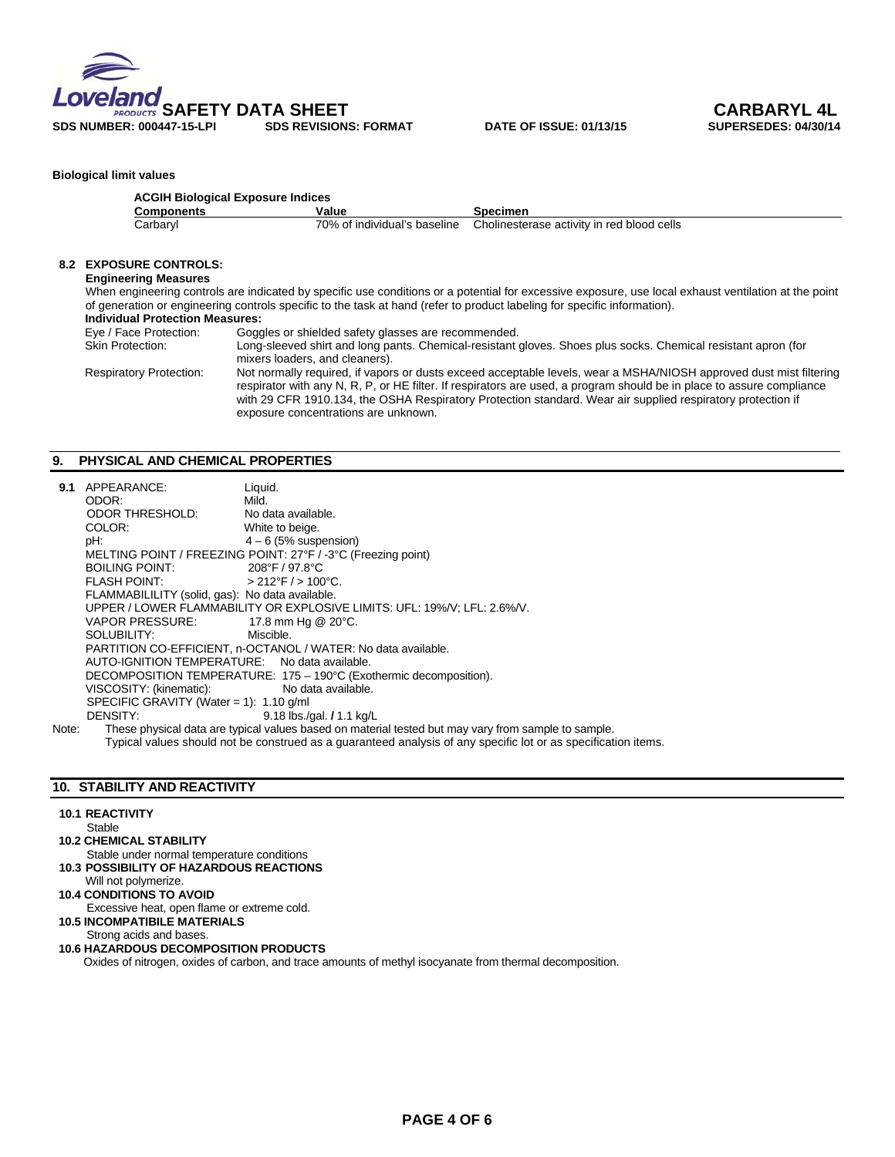

### **Biological limit values**

| Components | Value                        | Specimen                                   |
|------------|------------------------------|--------------------------------------------|
| Carbaryl   | 70% of individual's baseline | Cholinesterase activity in red blood cells |
|            |                              |                                            |
|            |                              |                                            |

# **8.2 EXPOSURE CONTROLS:**

**Engineering Measures** 

When engineering controls are indicated by specific use conditions or a potential for excessive exposure, use local exhaust ventilation at the point of generation or engineering controls specific to the task at hand (refer to product labeling for specific information).

#### **Individual Protection Measures:**<br>Eye / Face Protection: Gogg **Eye / Face Protection:** Goggles or shielded safety glasses are recommended.<br>
Skin Protection: Long-sleeved shirt and long pants. Chemical-resistant of Long-sleeved shirt and long pants. Chemical-resistant gloves. Shoes plus socks. Chemical resistant apron (for mixers loaders, and cleaners). Respiratory Protection: Not normally required, if vapors or dusts exceed acceptable levels, wear a MSHA/NIOSH approved dust mist filtering respirator with any N, R, P, or HE filter. If respirators are used, a program should be in place to assure compliance with 29 CFR 1910.134, the OSHA Respiratory Protection standard. Wear air supplied respiratory protection if exposure concentrations are unknown.

### **9. PHYSICAL AND CHEMICAL PROPERTIES**

| 9.1     | APPEARANCE:                                     | Liquid.                                                                                            |  |  |  |
|---------|-------------------------------------------------|----------------------------------------------------------------------------------------------------|--|--|--|
|         | ODOR:                                           | Mild.                                                                                              |  |  |  |
|         | ODOR THRESHOLD:                                 | No data available.                                                                                 |  |  |  |
|         | COLOR:                                          | White to beige.                                                                                    |  |  |  |
|         | pH:                                             | $4-6$ (5% suspension)                                                                              |  |  |  |
|         |                                                 | MELTING POINT / FREEZING POINT: 27°F / -3°C (Freezing point)                                       |  |  |  |
|         | BOILING POINT: 208°F / 97.8°C                   |                                                                                                    |  |  |  |
|         | FLASH POINT: $>212^{\circ}F/>100^{\circ}C$ .    |                                                                                                    |  |  |  |
|         | FLAMMABILILITY (solid, gas): No data available. |                                                                                                    |  |  |  |
|         |                                                 | UPPER / LOWER FLAMMABILITY OR EXPLOSIVE LIMITS: UFL: 19%/V; LFL: 2.6%/V.                           |  |  |  |
|         | VAPOR PRESSURE: 17.8 mm Hg @ 20°C.              |                                                                                                    |  |  |  |
|         | SOLUBILITY:                                     | Miscible.                                                                                          |  |  |  |
|         |                                                 | PARTITION CO-EFFICIENT, n-OCTANOL / WATER: No data available.                                      |  |  |  |
|         | AUTO-IGNITION TEMPERATURE: No data available.   |                                                                                                    |  |  |  |
|         |                                                 | DECOMPOSITION TEMPERATURE: 175 - 190°C (Exothermic decomposition).                                 |  |  |  |
|         | VISCOSITY: (kinematic):                         | No data available.                                                                                 |  |  |  |
|         | SPECIFIC GRAVITY (Water = 1): $1.10$ g/ml       |                                                                                                    |  |  |  |
|         | DENSITY:                                        | 9.18 lbs./gal. / 1.1 kg/L                                                                          |  |  |  |
| $N = 1$ |                                                 | These physical data are tupical upluse becad an motorial tested but mou usu from complete complete |  |  |  |

Note: These physical data are typical values based on material tested but may vary from sample to sample. Typical values should not be construed as a guaranteed analysis of any specific lot or as specification items.

# **10. STABILITY AND REACTIVITY**

### **10.1 REACTIVITY**

**Stable** 

# **10.2 CHEMICAL STABILITY**

- Stable under normal temperature conditions **10.3 POSSIBILITY OF HAZARDOUS REACTIONS**
- Will not polymerize.
- **10.4 CONDITIONS TO AVOID**
- Excessive heat, open flame or extreme cold.  **10.5 INCOMPATIBILE MATERIALS**

# Strong acids and bases.

# **10.6 HAZARDOUS DECOMPOSITION PRODUCTS**

Oxides of nitrogen, oxides of carbon, and trace amounts of methyl isocyanate from thermal decomposition.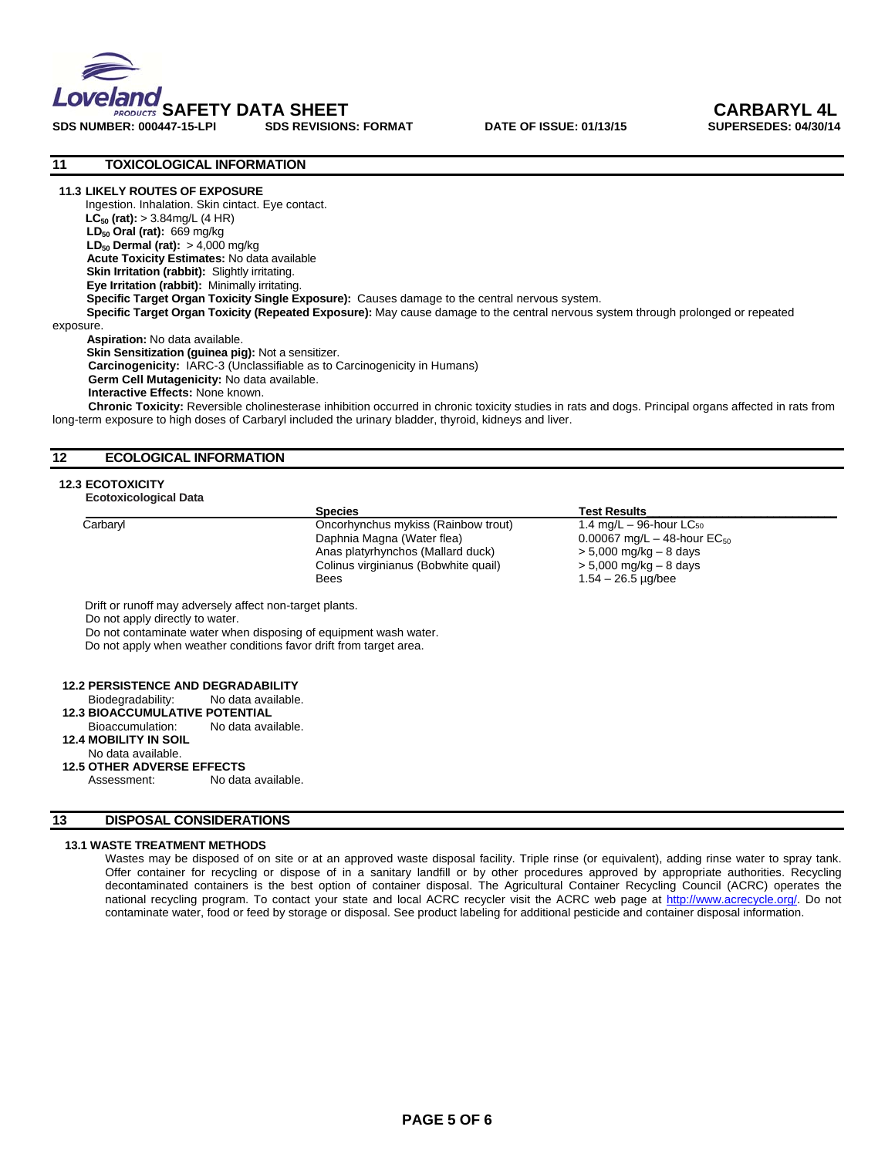

SDS NUMBER: 000447-15-LPI SDS REVISIONS: FORMAT DATE OF ISSUE: 01/13/15



# **11 TOXICOLOGICAL INFORMATION**

#### **11.3 LIKELY ROUTES OF EXPOSURE**

Ingestion. Inhalation. Skin cintact. Eye contact. **LC50 (rat):** > 3.84mg/L (4 HR)  **LD50 Oral (rat):** 669 mg/kg **LD<sub>50</sub> Dermal (rat):** > 4,000 mg/kg **Acute Toxicity Estimates:** No data available **Skin Irritation (rabbit):** Slightly irritating.  **Eye Irritation (rabbit):** Minimally irritating.  **Specific Target Organ Toxicity Single Exposure):** Causes damage to the central nervous system. **Specific Target Organ Toxicity (Repeated Exposure):** May cause damage to the central nervous system through prolonged or repeated exposure.

 **Aspiration:** No data available. **Skin Sensitization (guinea pig):** Not a sensitizer.  **Carcinogenicity:** IARC-3 (Unclassifiable as to Carcinogenicity in Humans) **Germ Cell Mutagenicity:** No data available. **Interactive Effects:** None known.

 **Chronic Toxicity:** Reversible cholinesterase inhibition occurred in chronic toxicity studies in rats and dogs. Principal organs affected in rats from long-term exposure to high doses of Carbaryl included the urinary bladder, thyroid, kidneys and liver.

### **12 ECOLOGICAL INFORMATION**

#### **12.3 ECOTOXICITY**

### **Ecotoxicological Data**

|          | <b>Species</b>                       | <b>Test Results</b>                       |  |
|----------|--------------------------------------|-------------------------------------------|--|
| Carbaryl | Oncorhynchus mykiss (Rainbow trout)  | 1.4 mg/L $-$ 96-hour LC $_{50}$           |  |
|          | Daphnia Magna (Water flea)           | 0.00067 mg/L $-$ 48-hour EC <sub>50</sub> |  |
|          | Anas platyrhynchos (Mallard duck)    | $> 5,000$ mg/kg $- 8$ days                |  |
|          | Colinus virginianus (Bobwhite quail) | $> 5,000$ mg/kg $- 8$ days                |  |
|          | <b>Bees</b>                          | $1.54 - 26.5$ µg/bee                      |  |

Do not contaminate water when disposing of equipment wash water.

Do not apply when weather conditions favor drift from target area.

# **12.2 PERSISTENCE AND DEGRADABILITY**<br>Biodegradability: No data available.

**Biodegradability:** 

### **12.3 BIOACCUMULATIVE POTENTIAL**

Bioaccumulation: No data available.

### **12.4 MOBILITY IN SOIL**

No data available.

### **12.5 OTHER ADVERSE EFFECTS**

Assessment: No data available.

### **13 DISPOSAL CONSIDERATIONS**

### **13.1 WASTE TREATMENT METHODS**

Wastes may be disposed of on site or at an approved waste disposal facility. Triple rinse (or equivalent), adding rinse water to spray tank. Offer container for recycling or dispose of in a sanitary landfill or by other procedures approved by appropriate authorities. Recycling decontaminated containers is the best option of container disposal. The Agricultural Container Recycling Council (ACRC) operates the national recycling program. To contact your state and local ACRC recycler visit the ACRC web page at http://www.acrecycle.org/. Do not contaminate water, food or feed by storage or disposal. See product labeling for additional pesticide and container disposal information.